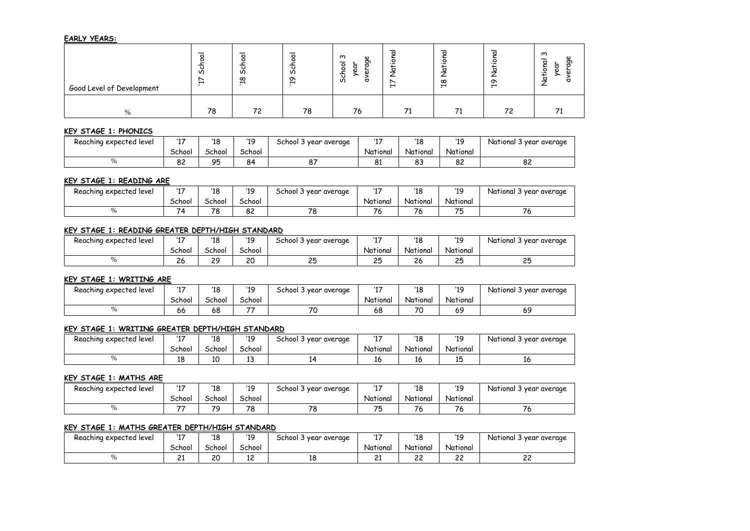# **EARLY YEARS:**

| Good Level of Development | ഗ<br>$\mathbf{r}$ | ഗ<br>$\infty$<br>↽ | o<br>ഗ<br>$\sigma$<br>$\overline{\phantom{0}}$ | ო<br>W)<br>ᠳ<br>$\circ$<br>$\circ$<br>∸<br>ം<br>ഗ | $\mathbf{\mathbf{H}}$ | ൦<br>$\overline{\phantom{0}}$ | ᡡ<br>$\overline{\phantom{0}}$ | ო<br>הס |
|---------------------------|-------------------|--------------------|------------------------------------------------|---------------------------------------------------|-----------------------|-------------------------------|-------------------------------|---------|
| $\frac{0}{0}$             | 78                | 72                 | 78                                             | 76                                                |                       | 74                            | 72                            |         |

## **KEY STAGE 1: PHONICS**

| Reaching expected level  | $14 -$<br>. . | '18       | '19    | vear average<br>School 3 | $\sim$   | '18      | 11C       | National 3<br>year average |
|--------------------------|---------------|-----------|--------|--------------------------|----------|----------|-----------|----------------------------|
|                          | School        | _chool    | School |                          | National | National | National  |                            |
| $\sim$<br>$\overline{v}$ | o o<br>84     | OF<br>, J | 84     | $\sim$<br>$\circ$        | o٠<br>ပ⊥ | o٥<br>೦ಎ | o o<br>ပ∟ | $\Omega$<br>ᅆ              |

### **KEY STAGE 1: READING ARE**

| Reaching expected level | $\sim$<br> | '18    | '19    | School 3<br>; vear average | $\sim$   | '18      | '1 Q     | د National<br>} year average |
|-------------------------|------------|--------|--------|----------------------------|----------|----------|----------|------------------------------|
|                         | School     | School | School |                            | National | National | National |                              |
|                         | 74         | 78     | 82     | 70                         |          | -<br>٬σ  | 75<br>w  | ۰ ب                          |

# **KEY STAGE 1: READING GREATER DEPTH/HIGH STANDARD**

| Reaching expected level | $14 -$<br>. . | '18     | '19    | 5chool 3 year average | $14 -$          | '18          | '1 Q<br>., | National 3<br>s year average |
|-------------------------|---------------|---------|--------|-----------------------|-----------------|--------------|------------|------------------------------|
|                         | School        | School  | School |                       | National        | National     | National   |                              |
|                         | 26            | 29<br>້ | 20     | 25                    | クら<br><u>__</u> | $\sim$<br>26 | つら<br>ب ے  | っぱ<br>ີ                      |

# **KEY STAGE 1: WRITING ARE**

| Reaching expected level | $14 -$<br>. . | '18    | '19    | chool 3 '<br>, vear average | $\sim$   | 110<br>10 | '1C      | National 3<br>' vear averaae |
|-------------------------|---------------|--------|--------|-----------------------------|----------|-----------|----------|------------------------------|
|                         | School        | School | School |                             | National | National  | National |                              |
| $\sim$                  | 66            | 68     | --     | 70                          | 68       | 70        | 69       | 69                           |

# **KEY STAGE 1: WRITING GREATER DEPTH/HIGH STANDARD**

| Reaching expected level | $\sim$<br>. . | '18    | '1Q    | year average<br>⊃chool 3 ° | $\overline{\phantom{0}}$ | 14C<br>10 | '10<br>., | National 3 year average |
|-------------------------|---------------|--------|--------|----------------------------|--------------------------|-----------|-----------|-------------------------|
|                         | School        | School | School |                            | National                 | National  | National  |                         |
|                         | 10<br>τo      | 10     | ∸      | . .                        | 10                       | ⊥∪        |           | -16                     |

### **KEY STAGE 1: MATHS ARE**

| Reaching expected level | $14 -$<br>. . | '18    | '19    | year average<br>School 3' | $\sim$   | 140<br>10 | '1C      | National 3<br>year average |
|-------------------------|---------------|--------|--------|---------------------------|----------|-----------|----------|----------------------------|
|                         | School        | School | School |                           | National | National  | National |                            |
|                         |               | 70     | 78     | 70<br>- 9                 | --       |           | u        |                            |

# **KEY STAGE 1: MATHS GREATER DEPTH/HIGH STANDARD**

| Reaching expected level | . . <del>.</del><br>. . | '18    | '1 Q<br>., | year average<br>School 3 | $\overline{\phantom{0}}$<br>., | 14 C<br>10   | 11C          | National 3<br>i year average |
|-------------------------|-------------------------|--------|------------|--------------------------|--------------------------------|--------------|--------------|------------------------------|
|                         | School                  | School | School     |                          | National                       | National     | National     |                              |
|                         | <u>_ _</u>              | 20     | ∽<br>--    | 10                       | ~<br>--                        | $\sim$<br>-- | $\sim$<br>-- | $\sim$<br>--                 |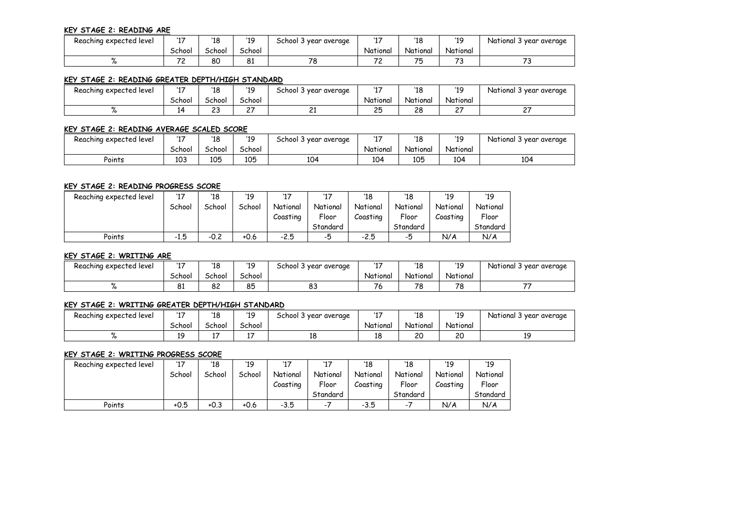### **KEY STAGE 2: READING ARE**

| Reaching expected level | $\sim$ $\sim$                        | '18    | 10<br>.,      | School 3<br>' year average |          | 140<br>  | 11C      | National 3 year average |
|-------------------------|--------------------------------------|--------|---------------|----------------------------|----------|----------|----------|-------------------------|
|                         | School                               | School | <b>School</b> |                            | National | National | National |                         |
|                         | $\overline{\phantom{a}}$<br><u>.</u> | 80     | ΟI            | 70<br>ہ ،                  | $-$      |          | . .      |                         |

## **KEY STAGE 2: READING GREATER DEPTH/HIGH STANDARD**

| Reaching expected level | $14 -$<br>. . | '18       | '19    | School 3<br>year average | $\overline{\phantom{a}}$ | 110<br>10 | '1C      | National 3<br>' year average |
|-------------------------|---------------|-----------|--------|--------------------------|--------------------------|-----------|----------|------------------------------|
|                         | School        | School    | School |                          | National                 | National  | National |                              |
|                         |               | າາ<br>ں ے | $-$    | $\sim$<br><u>_ _</u>     | つら<br>ـــ                | າດ<br>۷Q  | ~-<br>-  | --<br>-                      |

# **KEY STAGE 2: READING AVERAGE SCALED SCORE**

| Reaching expected level | --     | '18    | '1 Q<br>., | School 3<br>' year average | $\sim$   | 140<br>10 | '10<br>  | . National 3<br>; year average |
|-------------------------|--------|--------|------------|----------------------------|----------|-----------|----------|--------------------------------|
|                         | School | School | School     |                            | National | National  | National |                                |
| Points                  | 103    | 105    | 105        | 104                        | 104      | 105       | 104      | 104                            |

## **KEY STAGE 2: READING PROGRESS SCORE**

| Reaching expected level | '17    | '18    | '19    | 117      | '17      | '18      | '18      | '19      | '19      |
|-------------------------|--------|--------|--------|----------|----------|----------|----------|----------|----------|
|                         | School | School | School | National | National | National | National | National | National |
|                         |        |        |        | Coastina | Floor    | Coasting | Floor    | Coasting | Floor    |
|                         |        |        |        |          | Standard |          | Standard |          | Standard |
| Points                  | $-1.5$ | $-0.2$ | +0.6   | $-2.5$   | -5       | $-2.5$   | -5       | N/A      | N/A      |

### **KEY STAGE 2: WRITING ARE**

| Reaching expected level | $14 -$<br>. . | '18    | '19    | School 3<br>year average | $\sim$<br>. . | '18      | '19<br>       | د National<br>' year average |  |
|-------------------------|---------------|--------|--------|--------------------------|---------------|----------|---------------|------------------------------|--|
|                         | School        | School | School |                          | National      | National | National      |                              |  |
|                         | o.<br>ΟI      | 82     | 85     | 83                       | - -<br>٬      | 78       | 70<br>$\circ$ | --                           |  |

#### **KEY STAGE 2: WRITING GREATER DEPTH/HIGH STANDARD**

| Reaching expected level | $\overline{\phantom{0}}$ | '18    | '19    | School 3<br>year average | $\overline{\phantom{a}}$ | 110<br>140<br>TO |          | National 3 year average |  |
|-------------------------|--------------------------|--------|--------|--------------------------|--------------------------|------------------|----------|-------------------------|--|
|                         | School                   | School | School |                          | National                 | National         | National |                         |  |
|                         | 10<br>.,                 |        |        | 10<br>ᅟᅩ                 | --                       | 20               | 20       |                         |  |

#### **KEY STAGE 2: WRITING PROGRESS SCORE**

| Reaching expected level | '17    | '18    | '19    | 117      | '17                      | '18      | '18      | '19      | '19      |
|-------------------------|--------|--------|--------|----------|--------------------------|----------|----------|----------|----------|
|                         | School | School | School | National | National                 | National | National | National | National |
|                         |        |        |        | Coastina | Floor                    | Coastina | Floor    | Coasting | Floor    |
|                         |        |        |        |          | Standard                 |          | Standard |          | Standard |
| Points                  | $+0.5$ | $+0.3$ | +0.6   | $-3.5$   | $\overline{\phantom{a}}$ | $-3.5$   | - 1      | N/A      | N/A      |